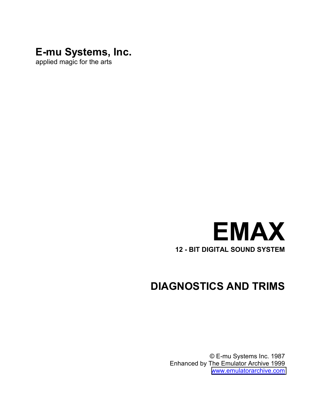# **E-mu Systems, Inc.**

applied magic for the arts



# **DIAGNOSTICS AND TRIMS**

© E-mu Systems Inc. 1987 Enhanced by The Emulator Archive 1999 www.emulatorarchive.com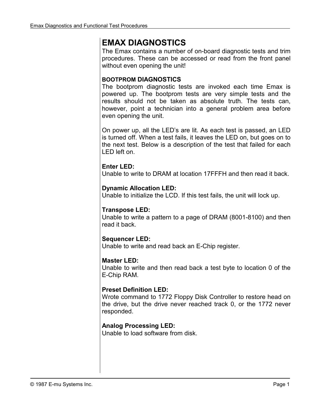# **EMAX DIAGNOSTICS**

The Emax contains a number of on-board diagnostic tests and trim procedures. These can be accessed or read from the front panel without even opening the unit!

#### **BOOTPROM DIAGNOSTICS**

The bootprom diagnostic tests are invoked each time Emax is powered up. The bootprom tests are very simple tests and the results should not be taken as absolute truth. The tests can, however, point a technician into a general problem area before even opening the unit.

On power up, all the LED's are lit. As each test is passed, an LED is turned off. When a test fails, it leaves the LED on, but goes on to the next test. Below is a description of the test that failed for each LED left on.

### **Enter LED:**

Unable to write to DRAM at location 17FFFH and then read it back.

### **Dynamic Allocation LED:**

Unable to initialize the LCD. If this test fails, the unit will lock up.

#### **Transpose LED:**

Unable to write a pattern to a page of DRAM (8001-8100) and then read it back.

# **Sequencer LED:**

Unable to write and read back an E-Chip register.

#### **Master LED:**

Unable to write and then read back a test byte to location 0 of the E-Chip RAM.

# **Preset Definition LED:**

Wrote command to 1772 Floppy Disk Controller to restore head on the drive, but the drive never reached track 0, or the 1772 never responded.

#### **Analog Processing LED:**

Unable to load software from disk.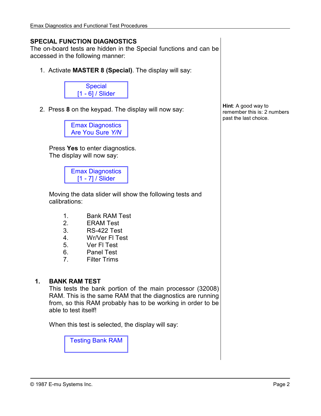### **SPECIAL FUNCTION DIAGNOSTICS**

The on-board tests are hidden in the Special functions and can be accessed in the following manner:

1. Activate **MASTER 8 (Special)**. The display will say:



2. Press **8** on the keypad. The display will now say:

Emax Diagnostics Are You Sure *Y/N*

Press **Yes** to enter diagnostics. The display will now say:

> Emax Diagnostics [1 - 7] / Slider

Moving the data slider will show the following tests and calibrations:

- 1. Bank RAM Test
- 2. ERAM Test
- 3. RS-422 Test
- 4. Wr/Ver Fl Test
- 5. Ver Fl Test
- 6. Panel Test
- 7. Filter Trims

#### **1. BANK RAM TEST**

This tests the bank portion of the main processor (32008) RAM. This is the same RAM that the diagnostics are running from, so this RAM probably has to be working in order to be able to test itself!

When this test is selected, the display will say:

Testing Bank RAM

**Hint**: A good way to remember this is: 2 numbers past the last choice.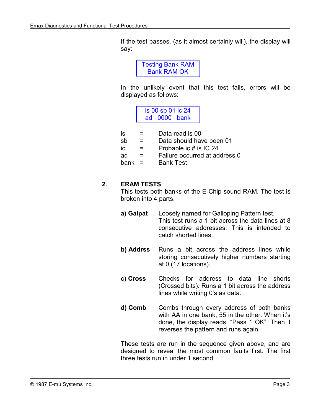If the test passes, (as it almost certainly will), the display will say:

> Testing Bank RAM Bank RAM OK

In the unlikely event that this test fails, errors will be displayed as follows:

> is 00 sb 01 ic 24 ad 0000 bank

| is       | $=$ | Data read is 00               |
|----------|-----|-------------------------------|
| sb       | $=$ | Data should have been 01      |
| ic       | =   | Probable ic # is IC 24        |
| ad       | $=$ | Failure occurred at address 0 |
| bank $=$ |     | <b>Bank Test</b>              |

#### **2. ERAM TESTS**

This tests both banks of the E-Chip sound RAM. The test is broken into 4 parts.

- **a) Galpat** Loosely named for Galloping Pattern test. This test runs a 1 bit across the data lines at 8 consecutive addresses. This is intended to catch shorted lines.
- **b) Addrss** Runs a bit across the address lines while storing consecutively higher numbers starting at 0 (17 locations).
- **c) Cross** Checks for address to data line shorts (Crossed bits). Runs a 1 bit across the address lines while writing 0's as data.
- **d) Comb** Combs through every address of both banks with AA in one bank, 55 in the other. When it's done, the display reads, "Pass 1 OK". Then it reverses the pattern and runs again.

These tests are run in the sequence given above, and are designed to reveal the most common faults first. The first three tests run in under 1 second.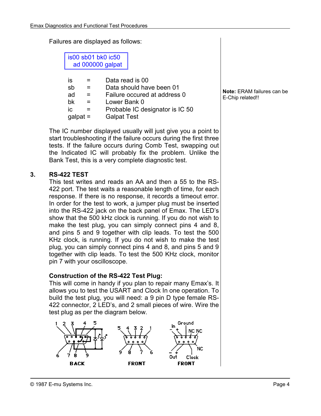Failures are displayed as follows:

is00 sb01 bk0 ic50 ad 000000 galpat

| IS  |                | Data read is 00                 |
|-----|----------------|---------------------------------|
|     | sb<br>$=$      | Data should have been 01        |
|     | ad             | Failure occured at address 0    |
|     | bk<br>$\equiv$ | Lower Bank 0                    |
| IC. |                | Probable IC designator is IC 50 |
|     | $galpat =$     | <b>Galpat Test</b>              |

The IC number displayed usually will just give you a point to start troubleshooting if the failure occurs during the first three tests. If the failure occurs during Comb Test, swapping out the Indicated IC will probably fix the problem. Unlike the Bank Test, this is a very complete diagnostic test.

### **3. RS-422 TEST**

This test writes and reads an AA and then a 55 to the RS-422 port. The test waits a reasonable length of time, for each response. If there is no response, it records a timeout error. In order for the test to work, a jumper plug must be inserted into the RS-422 jack on the back panel of Emax. The LED's show that the 500 kHz clock is running. If you do not wish to make the test plug, you can simply connect pins 4 and 8, and pins 5 and 9 together with clip leads. To test the 500 KHz clock, is running. If you do not wish to make the test plug, you can simply connect pins 4 and 8, and pins 5 and 9 together with clip leads. To test the 500 KHz clock, monitor pin 7 with your oscilloscope.

#### **Construction of the RS-422 Test Plug:**

This will come in handy if you plan to repair many Emax's. It allows you to test the USART and Clock In one operation. To build the test plug, you will need: a 9 pin D type female RS-422 connector, 2 LED's, and 2 small pieces of wire. Wire the test plug as per the diagram below.



**Note:** ERAM failures can be E-Chip related!!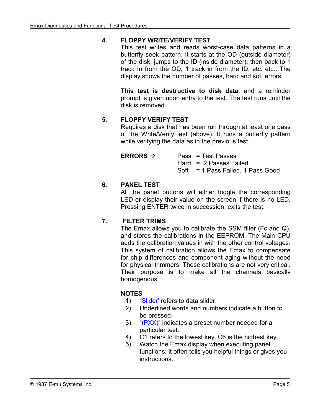### **4. FLOPPY WRITE/VERIFY TEST**

This test writes and reads worst-case data patterns in a butterfly seek pattern. It starts at the OD (outside diameter) of the disk, jumps to the ID (inside diameter), then back to 1 track In from the OD, 1 track in from the ID, etc. etc.. The display shows the number of passes, hard and soft errors.

**This test is destructive to disk data**, and a reminder prompt is given upon entry to the test. The test runs until the disk is removed.

#### **5. FLOPPY VERIFY TEST**

Requires a disk that has been run through at least one pass of the Write/Verify test (above). It runs a butterfly pattern while verifying the data as in the previous test.

| ERRORS $\rightarrow$ | Pass = Test Passes                |
|----------------------|-----------------------------------|
|                      | Hard = $2$ Passes Failed          |
|                      | Soft = 1 Pass Failed, 1 Pass Good |

### **6. PANEL TEST**

All the panel buttons will either toggle the corresponding LED or display their value on the screen if there is no LED. Pressing ENTER twice in succession, exits the test.

# **7. FILTER TRIMS**

The Emax allows you to calibrate the SSM filter (Fc and Q), and stores the calibrations in the EEPROM. The Main CPU adds the calibration values in with the other control voltages. This system of calibration allows the Emax to compensate for chip differences and component aging without the need for physical trimmers. These calibrations are not very critical. Their purpose is to make all the channels basically homogenous.

# **NOTES**

- 1) "Slider' refers to data slider.
- 2) Underlined words and numbers indicate a button to be pressed.
- 3) " $(PXX)$ " indicates a preset number needed for a particular test.
- 4) C1 refers to the lowest key. C6 is the highest key.
- 5) Watch the Emax display when executing panel functions; it often tells you helpful things or gives you instructions.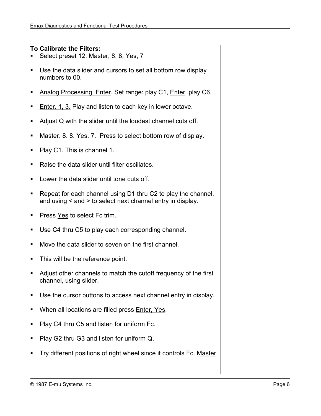#### **To Calibrate the Filters:**

- -Select preset 12. Master, 8, 8, Yes, 7
- -Use the data slider and cursors to set all bottom row display numbers to 00.
- -Analog Processing. Enter. Set range: play C1, Enter, play C6,
- -Enter. 1, 3. Play and listen to each key in lower octave.
- -Adjust Q with the slider until the loudest channel cuts off.
- -Master. 8. 8. Yes. 7. Press to select bottom row of display.
- -Play C1. This is channel 1.
- -Raise the data slider until filter oscillates.
- -Lower the data slider until tone cuts off.
- -Repeat for each channel using D1 thru C2 to play the channel, and using < and > to select next channel entry in display.
- -Press Yes to select Fc trim.
- -Use C4 thru C5 to play each corresponding channel.
- -Move the data slider to seven on the first channel.
- -This will be the reference point.
- -Adjust other channels to match the cutoff frequency of the first channel, using slider.
- -Use the cursor buttons to access next channel entry in display.
- When all locations are filled press **Enter, Yes.**
- -Play C4 thru C5 and listen for uniform Fc.
- -Play G2 thru G3 and listen for uniform Q.
- -Try different positions of right wheel since it controls Fc. Master.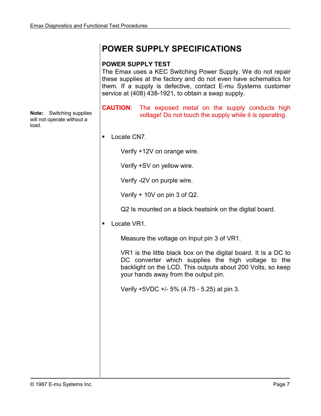# **POWER SUPPLY SPECIFICATIONS**

#### **POWER SUPPLY TEST**

The Emax uses a KEC Switching Power Supply. We do not repair these supplies at the factory and do not even have schematics for them. If a supply is defective, contact E-mu Systems customer service at (408) 438-1921, to obtain a swap supply.

**CAUTION**: The exposed metal on the supply conducts high voltage! Do not touch the supply while it is operating.

-Locate CN7.

Verify +12V on orange wire.

Verify +SV on yellow wire.

Verify -l2V on purple wire.

Verify + 10V on pin 3 of Q2.

Q2 Is mounted on a black heatsink on the digital board.

-Locate VR1.

Measure the voltage on Input pin 3 of VR1.

VR1 is the little black box on the digital board. It Is a DC to DC converter which supplies the high voltage to the backlight on the LCD. This outputs about 200 Volts, so keep your hands away from the output pin.

Verify +5VDC +/- 5% (4.75 - 5.25) at pin 3.

**Note:** Switching supplies will not operate without a load.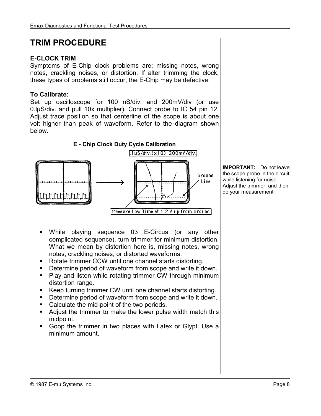# **TRIM PROCEDURE**

### **E-CLOCK TRIM**

Symptoms of E-Chip clock problems are: missing notes, wrong notes, crackling noises, or distortion. If alter trimming the clock, these types of problems still occur, the E-Chip may be defective.

### **To Calibrate:**

Set up oscilloscope for 100 nS/div. and 200mV/div (or use 0.lµS/div. and pull 10x multiplier). Connect probe to IC 54 pin 12. Adjust trace position so that centerline of the scope is about one volt higher than peak of waveform. Refer to the diagram shown below.



**IMPORTANT:** Do not leave the scope probe in the circuit while listening for noise. Adjust the trimmer, and then do your measurement

- -While playing sequence 03 E-Circus (or any other complicated sequence), turn trimmer for minimum distortion. What we mean by distortion here is, missing notes, wrong notes, crackling noises, or distorted waveforms.
- -Rotate trimmer CCW until one channel starts distorting.
- **•** Determine period of waveform from scope and write it down.
- Play and listen while rotating trimmer CW through minimum distortion range.
- -Keep turning trimmer CW until one channel starts distorting.
- **•** Determine period of waveform from scope and write it down.
- **Calculate the mid-point of the two periods.**
- **Adjust the trimmer to make the lower pulse width match this** midpoint.
- -Goop the trimmer in two places with Latex or Glypt. Use a minimum amount.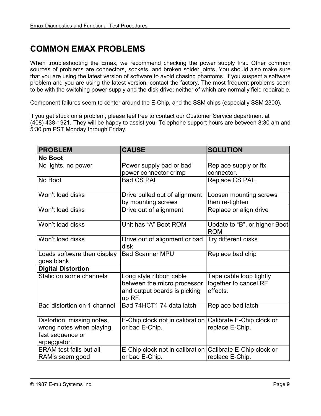# **COMMON EMAX PROBLEMS**

When troubleshooting the Emax, we recommend checking the power supply first. Other common sources of problems are connectors, sockets, and broken solder joints. You should also make sure that you are using the latest version of software to avoid chasing phantoms. If you suspect a software problem and you are using the latest version, contact the factory. The most frequent problems seem to be with the switching power supply and the disk drive; neither of which are normally field repairable.

Component failures seem to center around the E-Chip, and the SSM chips (especially SSM 2300).

If you get stuck on a problem, please feel free to contact our Customer Service department at (408) 438-1921. They will be happy to assist you. Telephone support hours are between 8:30 am and 5:30 pm PST Monday through Friday.

| <b>PROBLEM</b>                                               | <b>CAUSE</b>                                                                                     | <b>SOLUTION</b>                                              |
|--------------------------------------------------------------|--------------------------------------------------------------------------------------------------|--------------------------------------------------------------|
| <b>No Boot</b>                                               |                                                                                                  |                                                              |
| No lights, no power                                          | Power supply bad or bad                                                                          | Replace supply or fix                                        |
|                                                              | power connector crimp                                                                            | connector.                                                   |
| No Boot                                                      | <b>Bad CS PAL</b>                                                                                | <b>Replace CS PAL</b>                                        |
| Won't load disks                                             | Drive pulled out of alignment<br>by mounting screws                                              | Loosen mounting screws<br>then re-tighten                    |
| Won't load disks                                             | Drive out of alignment                                                                           | Replace or align drive                                       |
| Won't load disks                                             | Unit has "A" Boot ROM                                                                            | Update to "B", or higher Boot<br><b>ROM</b>                  |
| Won't load disks                                             | Drive out of alignment or bad<br>disk                                                            | Try different disks                                          |
| Loads software then display<br>goes blank                    | <b>Bad Scanner MPU</b>                                                                           | Replace bad chip                                             |
| <b>Digital Distortion</b>                                    |                                                                                                  |                                                              |
| Static on some channels                                      | Long style ribbon cable<br>between the micro processor<br>and output boards is picking<br>up RF. | Tape cable loop tightly<br>together to cancel RF<br>effects. |
| Bad distortion on 1 channel                                  | Bad 74HCT1 74 data latch                                                                         | Replace bad latch                                            |
| Distortion, missing notes,                                   | E-Chip clock not in calibration Calibrate E-Chip clock or                                        |                                                              |
| wrong notes when playing<br>fast sequence or<br>arpeggiator. | or bad E-Chip.                                                                                   | replace E-Chip.                                              |
| <b>ERAM</b> test fails but all                               | E-Chip clock not in calibration Calibrate E-Chip clock or                                        |                                                              |
| RAM's seem good                                              | or bad E-Chip.                                                                                   | replace E-Chip.                                              |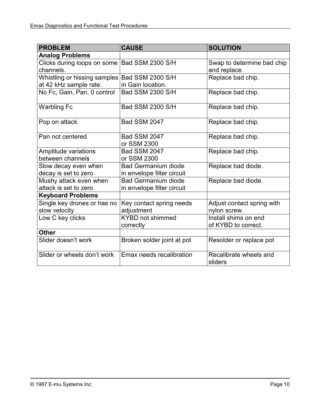| <b>PROBLEM</b>                                | <b>CAUSE</b>                       | <b>SOLUTION</b>                   |
|-----------------------------------------------|------------------------------------|-----------------------------------|
| <b>Analog Problems</b>                        |                                    |                                   |
| Clicks during loops on some                   | Bad SSM 2300 S/H                   | Swap to determine bad chip        |
| channels.                                     |                                    | and replace.                      |
| Whistling or hissing samples Bad SSM 2300 S/H |                                    | Replace bad chip.                 |
| at 42 kHz sample rate.                        | in Gain location.                  |                                   |
| No Fc, Gain, Pan, 0 control                   | Bad SSM 2300 S/H                   | Replace bad chip.                 |
| <b>Warbling Fc</b>                            | Bad SSM 2300 S/H                   | Replace bad chip.                 |
| Pop on attack                                 | <b>Bad SSM 2047</b>                | Replace bad chip.                 |
| Pan not centered                              | <b>Bad SSM 2047</b><br>or SSM 2300 | Replace bad chip.                 |
| Amplitude variations                          | <b>Bad SSM 2047</b>                | Replace bad chip.                 |
| between channels                              | or SSM 2300                        |                                   |
| Slow decay even when                          | <b>Bad Germanium diode</b>         | Replace bad diode.                |
| decay is set to zero                          | in envelope filter circuit         |                                   |
| Mushy attack even when                        | <b>Bad Germanium diode</b>         | Replace bad diode.                |
| attack is set to zero                         | in envelope filter circuit         |                                   |
| <b>Keyboard Problems</b>                      |                                    |                                   |
| Single key drones or has no                   | Key contact spring needs           | Adjust contact spring with        |
| slow velocity                                 | adjustment                         | nylon screw.                      |
| Low C key clicks                              | <b>KYBD</b> not shimmed            | Install shims on end              |
|                                               | correctly                          | of KYBD to correct.               |
| <b>Other</b>                                  |                                    |                                   |
| Slider doesn't work                           | Broken solder joint at pot         | Resolder or replace pot           |
| Slider or wheels don't work                   | Emax needs recalibration           | Recalibrate wheels and<br>sliders |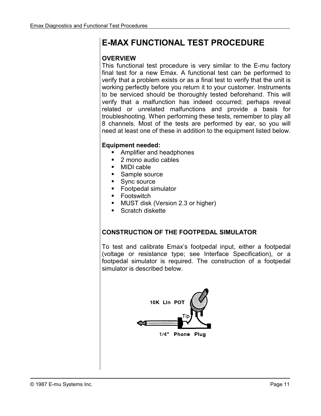# **E-MAX FUNCTIONAL TEST PROCEDURE**

#### **OVERVIEW**

This functional test procedure is very similar to the E-mu factory final test for a new Emax. A functional test can be performed to verify that a problem exists or as a final test to verify that the unit is working perfectly before you return it to your customer. Instruments to be serviced should be thoroughly tested beforehand. This will verify that a malfunction has indeed occurred; perhaps reveal related or unrelated malfunctions and provide a basis for troubleshooting. When performing these tests, remember to play all 8 channels. Most of the tests are performed by ear, so you will need at least one of these in addition to the equipment listed below.

# **Equipment needed:**

- -Amplifier and headphones
- -2 mono audio cables
- -MIDI cable
- **Sample source**
- -Sync source
- -Footpedal simulator
- Footswitch
- **MUST disk (Version 2.3 or higher)**
- Scratch diskette

#### **CONSTRUCTION OF THE FOOTPEDAL SIMULATOR**

To test and calibrate Emax's footpedal input, either a footpedal (voltage or resistance type; see Interface Specification), or a footpedal simulator is required. The construction of a footpedal simulator is described below.

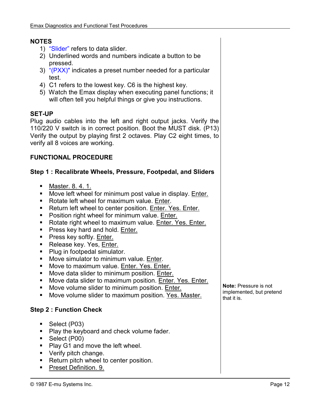#### **NOTES**

- 1) "Slider" refers to data slider.
- 2) Underlined words and numbers indicate a button to be pressed.
- 3) "(PXX)" indicates a preset number needed for a particular test.
- 4) C1 refers to the lowest key. C6 is the highest key.
- 5) Watch the Emax display when executing panel functions; it will often tell you helpful things or give you instructions.

#### **SET-UP**

Plug audio cables into the left and right output jacks. Verify the 110/220 V switch is in correct position. Boot the MUST disk. (P13) Verify the output by playing first 2 octaves. Play C2 eight times, to verify all 8 voices are working.

#### **FUNCTIONAL PROCEDURE**

#### **Step 1 : Recalibrate Wheels, Pressure, Footpedal, and Sliders**

- Master. 8. 4. 1.
- **Move left wheel for minimum post value in display.** Enter.
- Rotate left wheel for maximum value. Enter.
- Return left wheel to center position. Enter. Yes. Enter.
- **Position right wheel for minimum value. Enter.**
- Rotate right wheel to maximum value. Enter. Yes. Enter.
- Press key hard and hold. Enter.
- **Press key softly.** Enter.
- Release key. Yes, Enter.
- Plug in footpedal simulator.
- **Move simulator to minimum value.** Enter.
- **Move to maximum value. Enter. Yes. Enter.**
- **Move data slider to minimum position.** Enter.
- **Nove data slider to maximum position.** Enter. Yes. Enter.
- **Move volume slider to minimum position.** Enter.
- **Move volume slider to maximum position.** Yes. Master.

#### **Step 2 : Function Check**

- -Select (P03)
- Play the keyboard and check volume fader.
- -Select (P00)
- Play G1 and move the left wheel.
- **•** Verify pitch change.
- **•** Return pitch wheel to center position.
- -Preset Definition. 9.

**Note:** Pressure is not implemented, but pretend that it is.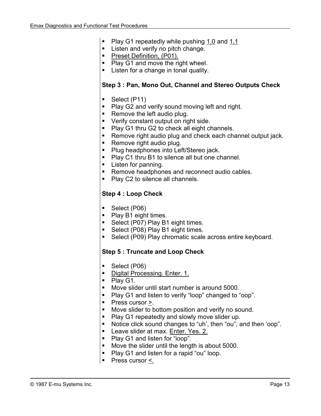- -Play G1 repeatedly while pushing 1,0 and 1,1
- **Extends and verify no pitch change.**
- Preset Definition, (P01).
- Play G1 and move the right wheel.
- **EXECTED FI** Listen for a change in tonal quality.

#### **Step 3 : Pan, Mono Out, Channel and Stereo Outputs Check**

- **Select (P11)**
- Play G2 and verify sound moving left and right.
- **Remove the left audio plug.**
- **•** Verify constant output on right side.
- Play G1 thru G2 to check all eight channels.
- **EXECT** Remove right audio plug and check each channel output jack.
- **Remove right audio plug.**
- **Plug headphones into Left/Stereo jack.**
- Play C1 thru B1 to silence all but one channel.
- **Example 1** Listen for panning.
- **EXECTED** Remove headphones and reconnect audio cables.
- Play C2 to silence all channels.

#### **Step 4 : Loop Check**

- -Select (P06)
- Play B1 eight times.
- Select (P07) Play B1 eight times.
- Select (P08) Play B1 eight times.
- -Select (P09) Play chromatic scale across entire keyboard.

#### **Step 5 : Truncate and Loop Check**

- -Select (P06)
- Digital Processing. Enter. 1.
- Play G1.
- -Move slider until start number is around 5000.
- $\blacksquare$  . Play G1 and listen to verify "loop" changed to "oop".
- $\blacksquare$  Press cursor  $\geq$ .
- -Move slider to bottom position and verify no sound.
- -Play G1 repeatedly and slowly move slider up.
- -Notice click sound changes to "uh', then "ou", and then 'oop".
- Leave slider at max. Enter. Yes. 2.
- Play G1 and listen for "ioop".
- -Move the slider until the length is about 5000.
- -Play G1 and listen for a rapid "ou" loop.
- Press cursor  $\leq$ .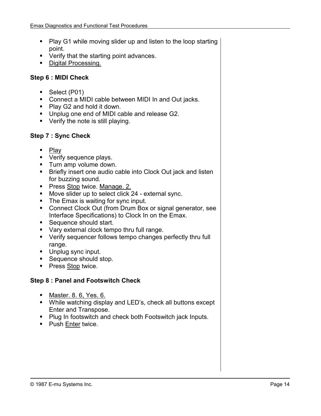- Play G1 while moving slider up and listen to the loop starting point.
- **•** Verify that the starting point advances.
- Digital Processing.

#### **Step 6 : MIDI Check**

- -Select (P01)
- **Connect a MIDI cable between MIDI In and Out jacks.**
- Play G2 and hold it down.
- -Unplug one end of MIDI cable and release G2.
- **•** Verify the note is still playing.

#### **Step 7 : Sync Check**

- -Play
- **Verify sequence plays.**
- -Turn amp volume down.
- **EXECT:** Briefly insert one audio cable into Clock Out jack and listen for buzzing sound.
- Press Stop twice. Manage. 2.
- **Move slider up to select click 24 external sync.**
- **The Emax is waiting for sync input.**
- **Connect Clock Out (from Drum Box or signal generator, see** Interface Specifications) to Clock In on the Emax.
- **Sequence should start.**
- -Vary external clock tempo thru full range.
- -Verify sequencer follows tempo changes perfectly thru full range.
- **Unplug sync input.**
- **Sequence should stop.**
- Press Stop twice.

#### **Step 8 : Panel and Footswitch Check**

- **Master. 8. 6, Yes. 6.**
- While watching display and LED's, check all buttons except Enter and Transpose.
- Plug In footswitch and check both Footswitch jack Inputs.
- Push Enter twice.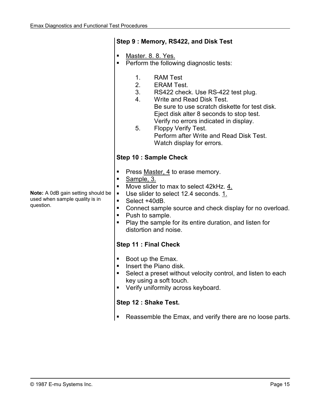|                                                                                   | Step 9: Memory, RS422, and Disk Test                                                                                                                                                                                                                                                                                                                                              |  |  |
|-----------------------------------------------------------------------------------|-----------------------------------------------------------------------------------------------------------------------------------------------------------------------------------------------------------------------------------------------------------------------------------------------------------------------------------------------------------------------------------|--|--|
|                                                                                   | Master. 8. 8. Yes.<br>٠<br>Perform the following diagnostic tests:<br>п                                                                                                                                                                                                                                                                                                           |  |  |
|                                                                                   | <b>RAM Test</b><br>$1_{-}$<br>2.<br><b>ERAM Test.</b><br>3.<br>RS422 check. Use RS-422 test plug.<br>4.<br>Write and Read Disk Test.<br>Be sure to use scratch diskette for test disk.<br>Eject disk alter 8 seconds to stop test.<br>Verify no errors indicated in display.<br>5.<br>Floppy Verify Test.<br>Perform after Write and Read Disk Test.<br>Watch display for errors. |  |  |
|                                                                                   | <b>Step 10: Sample Check</b>                                                                                                                                                                                                                                                                                                                                                      |  |  |
| Note: A 0dB gain setting should be<br>used when sample quality is in<br>question. | Press Master, 4 to erase memory.<br>п<br>Sample, 3.<br>п<br>Move slider to max to select 42kHz. 4.<br>п<br>Use slider to select 12.4 seconds. 1.<br>$\blacksquare$<br>Select +40dB.<br>п<br>Connect sample source and check display for no overload.<br>٠<br>Push to sample.<br>п<br>Play the sample for its entire duration, and listen for<br>п<br>distortion and noise.        |  |  |
|                                                                                   | <b>Step 11: Final Check</b>                                                                                                                                                                                                                                                                                                                                                       |  |  |
|                                                                                   | Boot up the Emax.<br>п<br>Insert the Piano disk.<br>Select a preset without velocity control, and listen to each<br>key using a soft touch.<br>Verify uniformity across keyboard.                                                                                                                                                                                                 |  |  |
|                                                                                   | Step 12 : Shake Test.                                                                                                                                                                                                                                                                                                                                                             |  |  |
|                                                                                   | Reassemble the Emax, and verify there are no loose parts.                                                                                                                                                                                                                                                                                                                         |  |  |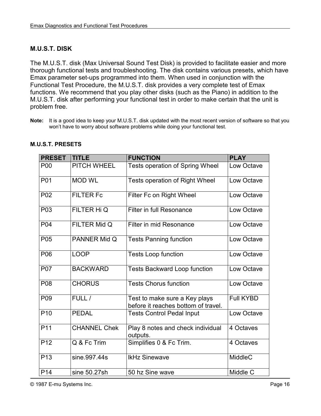### **M.U.S.T. DISK**

The M.U.S.T. disk (Max Universal Sound Test Disk) is provided to facilitate easier and more thorough functional tests and troubleshooting. The disk contains various presets, which have Emax parameter set-ups programmed into them. When used in conjunction with the Functional Test Procedure, the M.U.S.T. disk provides a very complete test of Emax functions. We recommend that you play other disks (such as the Piano) in addition to the M.U.S.T. disk after performing your functional test in order to make certain that the unit is problem free.

| <b>PRESET</b>   | <b>TITLE</b>        | <b>FUNCTION</b>                                                      | <b>PLAY</b>      |
|-----------------|---------------------|----------------------------------------------------------------------|------------------|
| <b>P00</b>      | PITCH WHEEL         | <b>Tests operation of Spring Wheel</b>                               | Low Octave       |
| P01             | <b>MOD WL</b>       | <b>Tests operation of Right Wheel</b>                                | Low Octave       |
| P02             | <b>FILTER Fc</b>    | Filter Fc on Right Wheel                                             | Low Octave       |
| P03             | FILTER Hi Q         | Filter in full Resonance                                             | Low Octave       |
| P04             | FILTER Mid Q        | Filter in mid Resonance                                              | Low Octave       |
| P05             | PANNER Mid Q        | <b>Tests Panning function</b>                                        | Low Octave       |
| P06             | <b>LOOP</b>         | <b>Tests Loop function</b>                                           | Low Octave       |
| <b>P07</b>      | <b>BACKWARD</b>     | <b>Tests Backward Loop function</b>                                  | Low Octave       |
| P08             | <b>CHORUS</b>       | <b>Tests Chorus function</b>                                         | Low Octave       |
| P <sub>09</sub> | FULL /              | Test to make sure a Key plays<br>before it reaches bottom of travel. | <b>Full KYBD</b> |
| P <sub>10</sub> | <b>PEDAL</b>        | <b>Tests Control Pedal Input</b>                                     | Low Octave       |
| P <sub>11</sub> | <b>CHANNEL Chek</b> | Play 8 notes and check individual<br>outputs.                        | 4 Octaves        |
| P <sub>12</sub> | Q & Fc Trim         | Simplifies 0 & Fc Trim.                                              | 4 Octaves        |
| P <sub>13</sub> | sine.997.44s        | <b>IkHz Sinewave</b>                                                 | <b>MiddleC</b>   |
| P <sub>14</sub> | sine 50.27sh        | 50 hz Sine wave                                                      | Middle C         |

#### **M.U.S.T. PRESETS**

© 1987 E-mu Systems Inc. Page 16

**Note:** It is a good idea to keep your M.U.S.T. disk updated with the most recent version of software so that you won't have to worry about software problems while doing your functional test.